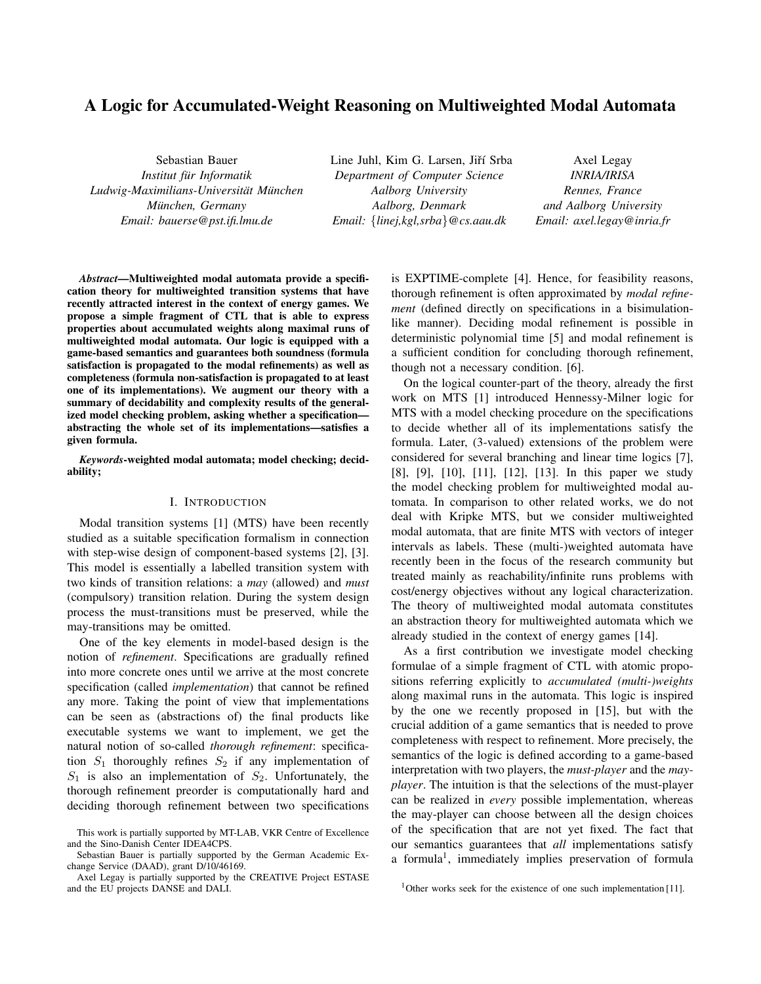# A Logic for Accumulated-Weight Reasoning on Multiweighted Modal Automata

Sebastian Bauer *Institut fur Informatik ¨*  $Ludwig-Maximilians-Universität München$ *Munchen, Germany ¨ Email: bauerse@pst.ifi.lmu.de*

Line Juhl, Kim G. Larsen, Jiří Srba *Department of Computer Science Aalborg University Aalborg, Denmark Email:* {*linej,kgl,srba*}*@cs.aau.dk*

Axel Legay *INRIA/IRISA Rennes, France and Aalborg University Email: axel.legay@inria.fr*

*Abstract*—Multiweighted modal automata provide a specification theory for multiweighted transition systems that have recently attracted interest in the context of energy games. We propose a simple fragment of CTL that is able to express properties about accumulated weights along maximal runs of multiweighted modal automata. Our logic is equipped with a game-based semantics and guarantees both soundness (formula satisfaction is propagated to the modal refinements) as well as completeness (formula non-satisfaction is propagated to at least one of its implementations). We augment our theory with a summary of decidability and complexity results of the generalized model checking problem, asking whether a specification abstracting the whole set of its implementations—satisfies a given formula.

*Keywords*-weighted modal automata; model checking; decidability;

#### I. INTRODUCTION

Modal transition systems [1] (MTS) have been recently studied as a suitable specification formalism in connection with step-wise design of component-based systems [2], [3]. This model is essentially a labelled transition system with two kinds of transition relations: a *may* (allowed) and *must* (compulsory) transition relation. During the system design process the must-transitions must be preserved, while the may-transitions may be omitted.

One of the key elements in model-based design is the notion of *refinement*. Specifications are gradually refined into more concrete ones until we arrive at the most concrete specification (called *implementation*) that cannot be refined any more. Taking the point of view that implementations can be seen as (abstractions of) the final products like executable systems we want to implement, we get the natural notion of so-called *thorough refinement*: specification  $S_1$  thoroughly refines  $S_2$  if any implementation of  $S_1$  is also an implementation of  $S_2$ . Unfortunately, the thorough refinement preorder is computationally hard and deciding thorough refinement between two specifications is EXPTIME-complete [4]. Hence, for feasibility reasons, thorough refinement is often approximated by *modal refinement* (defined directly on specifications in a bisimulationlike manner). Deciding modal refinement is possible in deterministic polynomial time [5] and modal refinement is a sufficient condition for concluding thorough refinement, though not a necessary condition. [6].

On the logical counter-part of the theory, already the first work on MTS [1] introduced Hennessy-Milner logic for MTS with a model checking procedure on the specifications to decide whether all of its implementations satisfy the formula. Later, (3-valued) extensions of the problem were considered for several branching and linear time logics [7], [8], [9], [10], [11], [12], [13]. In this paper we study the model checking problem for multiweighted modal automata. In comparison to other related works, we do not deal with Kripke MTS, but we consider multiweighted modal automata, that are finite MTS with vectors of integer intervals as labels. These (multi-)weighted automata have recently been in the focus of the research community but treated mainly as reachability/infinite runs problems with cost/energy objectives without any logical characterization. The theory of multiweighted modal automata constitutes an abstraction theory for multiweighted automata which we already studied in the context of energy games [14].

As a first contribution we investigate model checking formulae of a simple fragment of CTL with atomic propositions referring explicitly to *accumulated (multi-)weights* along maximal runs in the automata. This logic is inspired by the one we recently proposed in [15], but with the crucial addition of a game semantics that is needed to prove completeness with respect to refinement. More precisely, the semantics of the logic is defined according to a game-based interpretation with two players, the *must-player* and the *mayplayer*. The intuition is that the selections of the must-player can be realized in *every* possible implementation, whereas the may-player can choose between all the design choices of the specification that are not yet fixed. The fact that our semantics guarantees that *all* implementations satisfy a formula<sup>1</sup>, immediately implies preservation of formula

This work is partially supported by MT-LAB, VKR Centre of Excellence and the Sino-Danish Center IDEA4CPS.

Sebastian Bauer is partially supported by the German Academic Exchange Service (DAAD), grant D/10/46169.

Axel Legay is partially supported by the CREATIVE Project ESTASE and the EU projects DANSE and DALI.

<sup>&</sup>lt;sup>1</sup>Other works seek for the existence of one such implementation [11].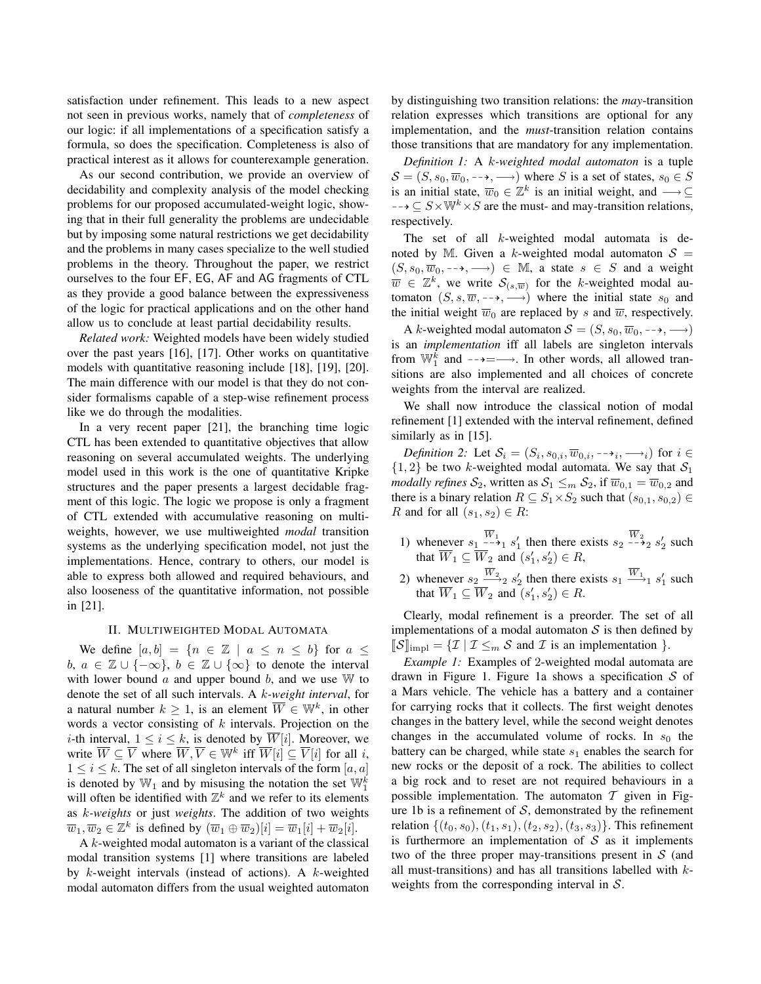satisfaction under refinement. This leads to a new aspect not seen in previous works, namely that of *completeness* of our logic: if all implementations of a specification satisfy a formula, so does the specification. Completeness is also of practical interest as it allows for counterexample generation.

As our second contribution, we provide an overview of decidability and complexity analysis of the model checking problems for our proposed accumulated-weight logic, showing that in their full generality the problems are undecidable but by imposing some natural restrictions we get decidability and the problems in many cases specialize to the well studied problems in the theory. Throughout the paper, we restrict ourselves to the four EF, EG, AF and AG fragments of CTL as they provide a good balance between the expressiveness of the logic for practical applications and on the other hand allow us to conclude at least partial decidability results.

*Related work:* Weighted models have been widely studied over the past years [16], [17]. Other works on quantitative models with quantitative reasoning include [18], [19], [20]. The main difference with our model is that they do not consider formalisms capable of a step-wise refinement process like we do through the modalities.

In a very recent paper [21], the branching time logic CTL has been extended to quantitative objectives that allow reasoning on several accumulated weights. The underlying model used in this work is the one of quantitative Kripke structures and the paper presents a largest decidable fragment of this logic. The logic we propose is only a fragment of CTL extended with accumulative reasoning on multiweights, however, we use multiweighted *modal* transition systems as the underlying specification model, not just the implementations. Hence, contrary to others, our model is able to express both allowed and required behaviours, and also looseness of the quantitative information, not possible in [21].

#### II. MULTIWEIGHTED MODAL AUTOMATA

We define  $[a, b] = \{n \in \mathbb{Z} \mid a \leq n \leq b\}$  for  $a \leq$ b,  $a \in \mathbb{Z} \cup \{-\infty\}, b \in \mathbb{Z} \cup \{\infty\}$  to denote the interval with lower bound  $\alpha$  and upper bound  $\beta$ , and we use W to denote the set of all such intervals. A k*-weight interval*, for a natural number  $k \geq 1$ , is an element  $\overline{W} \in \mathbb{W}^k$ , in other words a vector consisting of  $k$  intervals. Projection on the *i*-th interval,  $1 \le i \le k$ , is denoted by  $\overline{W}[i]$ . Moreover, we write  $\overline{W} \subseteq \overline{V}$  where  $\overline{W}, \overline{V} \in \mathbb{W}^k$  iff  $\overline{W}[i] \subseteq \overline{V}[i]$  for all i,  $1 \leq i \leq k$ . The set of all singleton intervals of the form [a, a] is denoted by  $\mathbb{W}_1$  and by misusing the notation the set  $\mathbb{W}_1^k$ will often be identified with  $\mathbb{Z}^k$  and we refer to its elements as k*-weights* or just *weights*. The addition of two weights  $\overline{w}_1, \overline{w}_2 \in \mathbb{Z}^k$  is defined by  $(\overline{w}_1 \oplus \overline{w}_2)[i] = \overline{w}_1[i] + \overline{w}_2[i]$ .

A  $k$ -weighted modal automaton is a variant of the classical modal transition systems [1] where transitions are labeled by  $k$ -weight intervals (instead of actions). A  $k$ -weighted modal automaton differs from the usual weighted automaton by distinguishing two transition relations: the *may*-transition relation expresses which transitions are optional for any implementation, and the *must*-transition relation contains those transitions that are mandatory for any implementation.

*Definition 1:* A k*-weighted modal automaton* is a tuple  $S = (S, s_0, \overline{w}_0, \rightarrow, \rightarrow)$  where S is a set of states,  $s_0 \in S$ is an initial state,  $\overline{w}_0 \in \mathbb{Z}^k$  is an initial weight, and  $\longrightarrow \subseteq$  $S \rightarrow \subseteq S \times \mathbb{W}^k \times S$  are the must- and may-transition relations, respectively.

The set of all k-weighted modal automata is denoted by M. Given a k-weighted modal automaton  $S =$  $(S, s_0, \overline{w}_0, \rightarrow, \rightarrow) \in \mathbb{M}$ , a state  $s \in S$  and a weight  $\overline{w} \in \mathbb{Z}^k$ , we write  $\mathcal{S}_{(s,\overline{w})}$  for the k-weighted modal automaton  $(S, s, \overline{w}, -\rightarrow, \longrightarrow)$  where the initial state s<sub>0</sub> and the initial weight  $\overline{w}_0$  are replaced by s and  $\overline{w}$ , respectively.

A k-weighted modal automaton  $S = (S, s_0, \overline{w}_0, \dots, \dots)$ is an *implementation* iff all labels are singleton intervals from  $\mathbb{W}_1^{\overline{k}}$  and  $-\rightarrow = \rightarrow$ . In other words, all allowed transitions are also implemented and all choices of concrete weights from the interval are realized.

We shall now introduce the classical notion of modal refinement [1] extended with the interval refinement, defined similarly as in [15].

*Definition 2:* Let  $S_i = (S_i, s_{0,i}, \overline{w}_{0,i}, \dots, \rightarrow_i)$  for  $i \in$  $\{1, 2\}$  be two k-weighted modal automata. We say that  $S_1$ *modally refines*  $S_2$ , written as  $S_1 \leq_m S_2$ , if  $\overline{w}_{0,1} = \overline{w}_{0,2}$  and there is a binary relation  $R \subseteq S_1 \times S_2$  such that  $(s_{0,1}, s_{0,2}) \in$ R and for all  $(s_1, s_2) \in R$ :

- 1) whenever  $s_1 \stackrel{W_1}{\dashrightarrow} s'_1$  then there exists  $s_2 \stackrel{W_2}{\dashrightarrow} s'_2$  such that  $\overline{W}_1 \subseteq \overline{W}_2$  and  $(s'_1, s'_2) \in R$ ,
- 2) whenever  $s_2 \frac{W_2}{\longrightarrow} s_2'$  then there exists  $s_1 \stackrel{W_1}{\longrightarrow} s_1'$  such that  $\overline{W}_1 \subseteq \overline{W}_2$  and  $(s'_1, s'_2) \in R$ .

Clearly, modal refinement is a preorder. The set of all implementations of a modal automaton  $S$  is then defined by  $\mathcal{S}$ <sub>limpl</sub> = { $\mathcal{I}$  |  $\mathcal{I} \leq_m \mathcal{S}$  and  $\mathcal{I}$  is an implementation }.

*Example 1:* Examples of 2-weighted modal automata are drawn in Figure 1. Figure 1a shows a specification  $S$  of a Mars vehicle. The vehicle has a battery and a container for carrying rocks that it collects. The first weight denotes changes in the battery level, while the second weight denotes changes in the accumulated volume of rocks. In  $s_0$  the battery can be charged, while state  $s_1$  enables the search for new rocks or the deposit of a rock. The abilities to collect a big rock and to reset are not required behaviours in a possible implementation. The automaton  $T$  given in Figure 1b is a refinement of  $S$ , demonstrated by the refinement relation  $\{(t_0, s_0), (t_1, s_1), (t_2, s_2), (t_3, s_3)\}.$  This refinement is furthermore an implementation of  $S$  as it implements two of the three proper may-transitions present in  $S$  (and all must-transitions) and has all transitions labelled with kweights from the corresponding interval in  $S$ .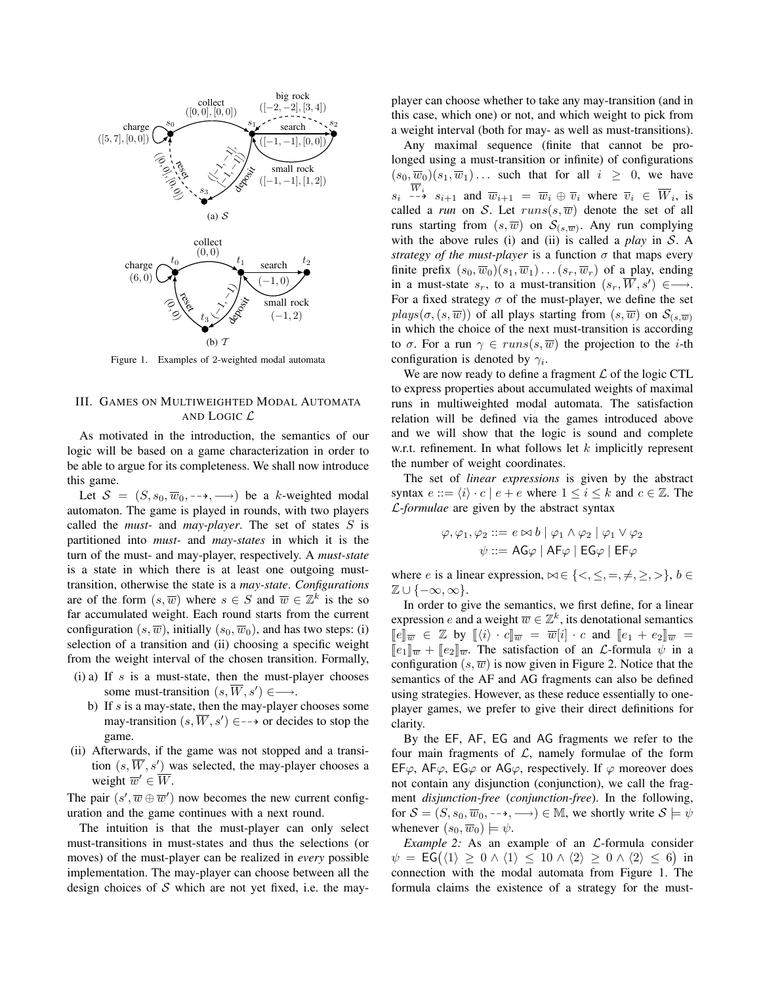

Figure 1. Examples of 2-weighted modal automata

## III. GAMES ON MULTIWEIGHTED MODAL AUTOMATA AND LOGIC L

As motivated in the introduction, the semantics of our logic will be based on a game characterization in order to be able to argue for its completeness. We shall now introduce this game.

Let  $S = (S, s_0, \overline{w}_0, \rightarrow, \rightarrow)$  be a k-weighted modal automaton. The game is played in rounds, with two players called the *must-* and *may-player*. The set of states S is partitioned into *must-* and *may-states* in which it is the turn of the must- and may-player, respectively. A *must-state* is a state in which there is at least one outgoing musttransition, otherwise the state is a *may-state*. *Configurations* are of the form  $(s, \overline{w})$  where  $s \in S$  and  $\overline{w} \in \mathbb{Z}^k$  is the so far accumulated weight. Each round starts from the current configuration  $(s, \overline{w})$ , initially  $(s_0, \overline{w}_0)$ , and has two steps: (i) selection of a transition and (ii) choosing a specific weight from the weight interval of the chosen transition. Formally,

- (i) a) If s is a must-state, then the must-player chooses some must-transition  $(s, \overline{W}, s') \in \longrightarrow$ .
	- b) If  $s$  is a may-state, then the may-player chooses some may-transition  $(s, \overline{W}, s') \in \rightarrow$  or decides to stop the game.
- (ii) Afterwards, if the game was not stopped and a transition  $(s, \overline{W}, s')$  was selected, the may-player chooses a weight  $\overline{w}' \in \overline{W}$ .

The pair  $(s', \overline{w} \oplus \overline{w}')$  now becomes the new current configuration and the game continues with a next round.

The intuition is that the must-player can only select must-transitions in must-states and thus the selections (or moves) of the must-player can be realized in *every* possible implementation. The may-player can choose between all the design choices of  $S$  which are not yet fixed, i.e. the mayplayer can choose whether to take any may-transition (and in this case, which one) or not, and which weight to pick from a weight interval (both for may- as well as must-transitions).

Any maximal sequence (finite that cannot be prolonged using a must-transition or infinite) of configurations  $(s_0, \overline{w}_0)(s_1, \overline{w}_1) \ldots$  such that for all  $i \geq 0$ , we have  $s_i \stackrel{W_i}{\dashrightarrow} s_{i+1}$  and  $\overline{w}_{i+1} = \overline{w}_i \oplus \overline{v}_i$  where  $\overline{v}_i \in \overline{W}_i$ , is called a *run* on S. Let  $runs(s, \overline{w})$  denote the set of all runs starting from  $(s, \overline{w})$  on  $\mathcal{S}_{(s, \overline{w})}$ . Any run complying with the above rules (i) and (ii) is called a *play* in S. A *strategy of the must-player* is a function  $\sigma$  that maps every finite prefix  $(s_0, \overline{w}_0)(s_1, \overline{w}_1) \dots (s_r, \overline{w}_r)$  of a play, ending in a must-state  $s_r$ , to a must-transition  $(s_r, \overline{W}, s') \in \longrightarrow$ . For a fixed strategy  $\sigma$  of the must-player, we define the set  $plays(\sigma,(s,\overline{w}))$  of all plays starting from  $(s,\overline{w})$  on  $\mathcal{S}_{(s,\overline{w})}$ in which the choice of the next must-transition is according to  $\sigma$ . For a run  $\gamma \in runs(s, \overline{w})$  the projection to the *i*-th configuration is denoted by  $\gamma_i$ .

We are now ready to define a fragment  $\mathcal L$  of the logic CTL to express properties about accumulated weights of maximal runs in multiweighted modal automata. The satisfaction relation will be defined via the games introduced above and we will show that the logic is sound and complete w.r.t. refinement. In what follows let  $k$  implicitly represent the number of weight coordinates.

The set of *linear expressions* is given by the abstract syntax  $e ::= \langle i \rangle \cdot c \mid e + e$  where  $1 \leq i \leq k$  and  $c \in \mathbb{Z}$ . The L-*formulae* are given by the abstract syntax

$$
\varphi, \varphi_1, \varphi_2 ::= e \bowtie b \mid \varphi_1 \land \varphi_2 \mid \varphi_1 \lor \varphi_2
$$

$$
\psi ::= \mathsf{AG}\varphi \mid \mathsf{AF}\varphi \mid \mathsf{EG}\varphi \mid \mathsf{EF}\varphi
$$

where e is a linear expression,  $\bowtie \in \{<, \leq, =, \neq, \geq, >\}, b \in$  $\mathbb{Z} \cup \{-\infty, \infty\}.$ 

In order to give the semantics, we first define, for a linear expression e and a weight  $\overline{w} \in \mathbb{Z}^k$ , its denotational semantics  $\lbrack\!\lbrack e\rbrack\!\rbrack_{\overline{w}} \in \mathbb{Z}$  by  $\lbrack\!\lbrack \langle i \rangle \cdot e\rbrack\!\rbrack_{\overline{w}} = \overline{w}[i] \cdot e$  and  $\lbrack\!\lbrack e_1 + e_2 \rbrack\!\rbrack_{\overline{w}} =$  $\llbracket e_1 \rrbracket_{\overline{w}} + \llbracket e_2 \rrbracket_{\overline{w}}$ . The satisfaction of an  $\mathcal{L}$ -formula  $\psi$  in a configuration  $(s, \overline{w})$  is now given in Figure 2. Notice that the semantics of the AF and AG fragments can also be defined using strategies. However, as these reduce essentially to oneplayer games, we prefer to give their direct definitions for clarity.

By the EF, AF, EG and AG fragments we refer to the four main fragments of  $\mathcal{L}$ , namely formulae of the form EF $\varphi$ , AF $\varphi$ , EG $\varphi$  or AG $\varphi$ , respectively. If  $\varphi$  moreover does not contain any disjunction (conjunction), we call the fragment *disjunction-free* (*conjunction-free*). In the following, for  $S = (S, s_0, \overline{w}_0, \dots, \longrightarrow) \in \mathbb{M}$ , we shortly write  $S \models \psi$ whenever  $(s_0, \overline{w}_0) \models \psi$ .

*Example 2:* As an example of an *L*-formula consider  $\psi = \mathsf{EG}(\langle 1 \rangle \geq 0 \wedge \langle 1 \rangle \leq 10 \wedge \langle 2 \rangle \geq 0 \wedge \langle 2 \rangle \leq 6)$  in connection with the modal automata from Figure 1. The formula claims the existence of a strategy for the must-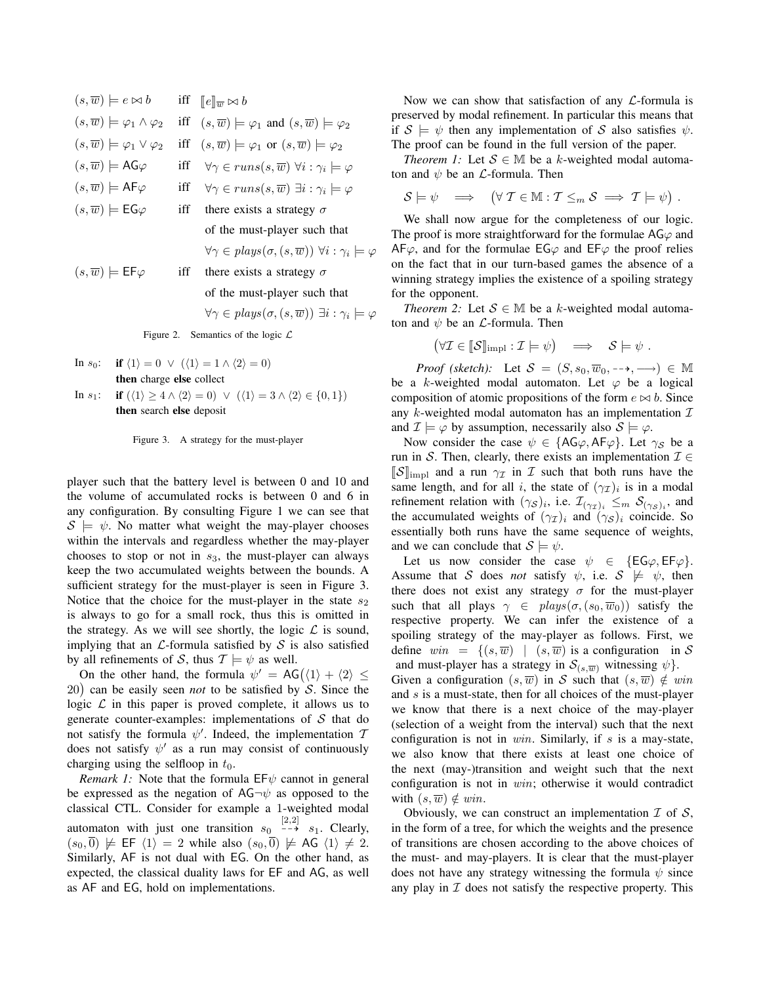$$
(s,\overline{w}) \models e \bowtie b \quad \text{iff} \quad [e]_{\overline{w}} \bowtie b
$$
\n
$$
(s,\overline{w}) \models \varphi_1 \land \varphi_2 \quad \text{iff} \quad (s,\overline{w}) \models \varphi_1 \text{ and } (s,\overline{w}) \models \varphi_2
$$
\n
$$
(s,\overline{w}) \models \varphi_1 \lor \varphi_2 \quad \text{iff} \quad (s,\overline{w}) \models \varphi_1 \text{ or } (s,\overline{w}) \models \varphi_2
$$
\n
$$
(s,\overline{w}) \models \text{AG}\varphi \quad \text{iff} \quad \forall \gamma \in runs(s,\overline{w}) \forall i : \gamma_i \models \varphi
$$
\n
$$
(s,\overline{w}) \models \text{GF}\varphi \quad \text{iff} \quad \forall \gamma \in runs(s,\overline{w}) \exists i : \gamma_i \models \varphi
$$
\n
$$
(s,\overline{w}) \models \text{EG}\varphi \quad \text{iff} \quad \text{there exists a strategy } \sigma
$$
\n
$$
\text{of the must-player such that}
$$
\n
$$
\forall \gamma \in plays(\sigma, (s,\overline{w})) \forall i : \gamma_i \models \varphi
$$
\n
$$
(s,\overline{w}) \models \text{EF}\varphi \quad \text{iff} \quad \text{there exists a strategy } \sigma
$$
\n
$$
\text{of the must-player such that}
$$
\n
$$
\forall \gamma \in plays(\sigma, (s,\overline{w})) \exists i : \gamma_i \models \varphi
$$
\n
$$
\text{Figure 2. Semantics of the logic } \mathcal{L}
$$

- In  $s_0$ : if  $\langle 1 \rangle = 0 \vee (\langle 1 \rangle = 1 \wedge \langle 2 \rangle = 0)$ then charge else collect
- In  $s_1$ : if  $(\langle 1 \rangle \geq 4 \wedge \langle 2 \rangle = 0) \vee (\langle 1 \rangle = 3 \wedge \langle 2 \rangle \in \{0, 1\})$ then search else deposit

Figure 3. A strategy for the must-player

player such that the battery level is between 0 and 10 and the volume of accumulated rocks is between 0 and 6 in any configuration. By consulting Figure 1 we can see that  $S \models \psi$ . No matter what weight the may-player chooses within the intervals and regardless whether the may-player chooses to stop or not in  $s_3$ , the must-player can always keep the two accumulated weights between the bounds. A sufficient strategy for the must-player is seen in Figure 3. Notice that the choice for the must-player in the state  $s_2$ is always to go for a small rock, thus this is omitted in the strategy. As we will see shortly, the logic  $\mathcal L$  is sound, implying that an  $\mathcal L$ -formula satisfied by  $\mathcal S$  is also satisfied by all refinements of S, thus  $T \models \psi$  as well.

On the other hand, the formula  $\psi' = AG(\langle 1 \rangle + \langle 2 \rangle \leq$ 20 can be easily seen *not* to be satisfied by S. Since the logic  $\mathcal L$  in this paper is proved complete, it allows us to generate counter-examples: implementations of  $S$  that do not satisfy the formula  $\psi'$ . Indeed, the implementation  $\mathcal I$ does not satisfy  $\psi'$  as a run may consist of continuously charging using the selfloop in  $t_0$ .

*Remark 1:* Note that the formula  $EF\psi$  cannot in general be expressed as the negation of  $AG\neg\psi$  as opposed to the classical CTL. Consider for example a 1-weighted modal automaton with just one transition  $s_0 \stackrel{[2,2]}{\dashrightarrow} s_1$ . Clearly,  $(s_0, \overline{0}) \not\models \textsf{EF} \langle 1 \rangle = 2$  while also  $(s_0, \overline{0}) \not\models \textsf{AG} \langle 1 \rangle \neq 2$ . Similarly, AF is not dual with EG. On the other hand, as expected, the classical duality laws for EF and AG, as well as AF and EG, hold on implementations.

Now we can show that satisfaction of any  $\mathcal{L}$ -formula is preserved by modal refinement. In particular this means that if  $S \models \psi$  then any implementation of S also satisfies  $\psi$ . The proof can be found in the full version of the paper.

*Theorem 1:* Let  $S \in \mathbb{M}$  be a k-weighted modal automaton and  $\psi$  be an *L*-formula. Then

$$
S \models \psi \quad \Longrightarrow \quad (\forall \; T \in \mathbb{M} : T \leq_m S \implies T \models \psi) \; .
$$

We shall now argue for the completeness of our logic. The proof is more straightforward for the formulae  $AG\varphi$  and  $AF\varphi$ , and for the formulae  $EG\varphi$  and  $EF\varphi$  the proof relies on the fact that in our turn-based games the absence of a winning strategy implies the existence of a spoiling strategy for the opponent.

*Theorem 2:* Let  $S \in M$  be a k-weighted modal automaton and  $\psi$  be an *L*-formula. Then

$$
(\forall \mathcal{I} \in \llbracket \mathcal{S} \rrbracket_{\text{impl}} : \mathcal{I} \models \psi) \implies \mathcal{S} \models \psi.
$$

*Proof (sketch):* Let  $S = (S, s_0, \overline{w}_0, \rightarrow, \rightarrow) \in \mathbb{M}$ be a k-weighted modal automaton. Let  $\varphi$  be a logical composition of atomic propositions of the form  $e \bowtie b$ . Since any k-weighted modal automaton has an implementation  $\mathcal I$ and  $\mathcal{I} \models \varphi$  by assumption, necessarily also  $\mathcal{S} \models \varphi$ .

Now consider the case  $\psi \in \{\text{AG}\varphi, \text{AF}\varphi\}$ . Let  $\gamma_{\mathcal{S}}$  be a run in S. Then, clearly, there exists an implementation  $\mathcal{I} \in$  $\|\mathcal{S}\|_{\text{impl}}$  and a run  $\gamma_{\mathcal{I}}$  in  $\mathcal{I}$  such that both runs have the same length, and for all i, the state of  $(\gamma_{\mathcal{I}})_i$  is in a modal refinement relation with  $(\gamma_S)_i$ , i.e.  $\mathcal{I}_{(\gamma_{\mathcal{I}})_i} \leq_m \mathcal{S}_{(\gamma_S)_i}$ , and the accumulated weights of  $(\gamma_{\mathcal{I}})_i$  and  $(\gamma_{\mathcal{S}})_i$  coincide. So essentially both runs have the same sequence of weights, and we can conclude that  $S \models \psi$ .

Let us now consider the case  $\psi \in \{EG\varphi, EF\varphi\}.$ Assume that S does *not* satisfy  $\psi$ , i.e.  $S \not\models \psi$ , then there does not exist any strategy  $\sigma$  for the must-player such that all plays  $\gamma \in \text{plays}(\sigma,(s_0,\overline{w}_0))$  satisfy the respective property. We can infer the existence of a spoiling strategy of the may-player as follows. First, we define  $win = \{(s, \overline{w}) | (s, \overline{w})$  is a configuration in S and must-player has a strategy in  $S_{(s,\overline{w})}$  witnessing  $\psi$ . Given a configuration  $(s, \overline{w})$  in S such that  $(s, \overline{w}) \notin win$ and s is a must-state, then for all choices of the must-player we know that there is a next choice of the may-player (selection of a weight from the interval) such that the next configuration is not in  $win$ . Similarly, if s is a may-state, we also know that there exists at least one choice of the next (may-)transition and weight such that the next configuration is not in win; otherwise it would contradict with  $(s, \overline{w}) \notin win$ .

Obviously, we can construct an implementation  $\mathcal I$  of  $\mathcal S$ , in the form of a tree, for which the weights and the presence of transitions are chosen according to the above choices of the must- and may-players. It is clear that the must-player does not have any strategy witnessing the formula  $\psi$  since any play in  $I$  does not satisfy the respective property. This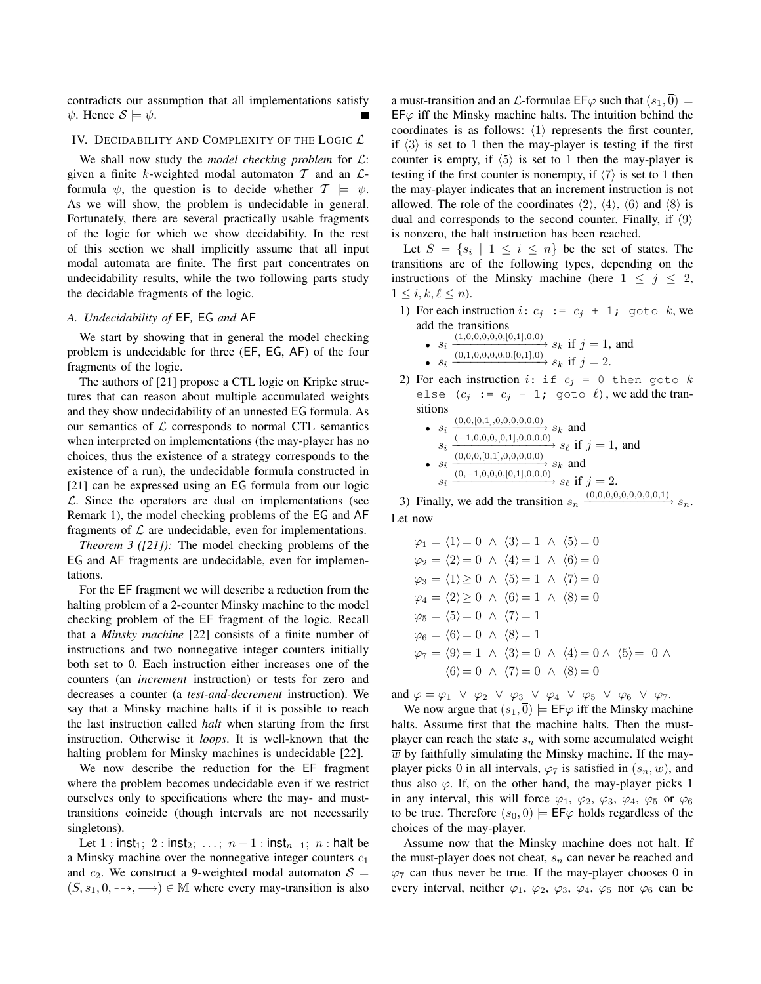contradicts our assumption that all implementations satisfy  $\psi$ . Hence  $S \models \psi$ .

#### IV. DECIDABILITY AND COMPLEXITY OF THE LOGIC  $\mathcal L$

We shall now study the *model checking problem* for L: given a finite k-weighted modal automaton  $T$  and an  $\mathcal{L}$ formula  $\psi$ , the question is to decide whether  $\mathcal{T} \models \psi$ . As we will show, the problem is undecidable in general. Fortunately, there are several practically usable fragments of the logic for which we show decidability. In the rest of this section we shall implicitly assume that all input modal automata are finite. The first part concentrates on undecidability results, while the two following parts study the decidable fragments of the logic.

## *A. Undecidability of* EF*,* EG *and* AF

We start by showing that in general the model checking problem is undecidable for three (EF, EG, AF) of the four fragments of the logic.

The authors of [21] propose a CTL logic on Kripke structures that can reason about multiple accumulated weights and they show undecidability of an unnested EG formula. As our semantics of  $\mathcal L$  corresponds to normal CTL semantics when interpreted on implementations (the may-player has no choices, thus the existence of a strategy corresponds to the existence of a run), the undecidable formula constructed in [21] can be expressed using an EG formula from our logic  $\mathcal{L}$ . Since the operators are dual on implementations (see Remark 1), the model checking problems of the EG and AF fragments of  $\mathcal L$  are undecidable, even for implementations.

*Theorem 3 ([21]):* The model checking problems of the EG and AF fragments are undecidable, even for implementations.

For the EF fragment we will describe a reduction from the halting problem of a 2-counter Minsky machine to the model checking problem of the EF fragment of the logic. Recall that a *Minsky machine* [22] consists of a finite number of instructions and two nonnegative integer counters initially both set to 0. Each instruction either increases one of the counters (an *increment* instruction) or tests for zero and decreases a counter (a *test-and-decrement* instruction). We say that a Minsky machine halts if it is possible to reach the last instruction called *halt* when starting from the first instruction. Otherwise it *loops*. It is well-known that the halting problem for Minsky machines is undecidable [22].

We now describe the reduction for the EF fragment where the problem becomes undecidable even if we restrict ourselves only to specifications where the may- and musttransitions coincide (though intervals are not necessarily singletons).

Let  $1 : \text{inst}_1; 2 : \text{inst}_2; ...; n-1 : \text{inst}_{n-1}; n : \text{halt be}$ a Minsky machine over the nonnegative integer counters  $c_1$ and  $c_2$ . We construct a 9-weighted modal automaton  $S =$  $(S, s_1, \overline{0}, \rightarrow, \rightarrow) \in \mathbb{M}$  where every may-transition is also a must-transition and an  $\mathcal L$ -formulae EF $\varphi$  such that  $(s_1, \overline{0})$   $\models$  $EF\varphi$  iff the Minsky machine halts. The intuition behind the coordinates is as follows:  $\langle 1 \rangle$  represents the first counter, if  $\langle 3 \rangle$  is set to 1 then the may-player is testing if the first counter is empty, if  $\langle 5 \rangle$  is set to 1 then the may-player is testing if the first counter is nonempty, if  $\langle 7 \rangle$  is set to 1 then the may-player indicates that an increment instruction is not allowed. The role of the coordinates  $\langle 2 \rangle$ ,  $\langle 4 \rangle$ ,  $\langle 6 \rangle$  and  $\langle 8 \rangle$  is dual and corresponds to the second counter. Finally, if  $\langle 9 \rangle$ is nonzero, the halt instruction has been reached.

Let  $S = \{s_i \mid 1 \leq i \leq n\}$  be the set of states. The transitions are of the following types, depending on the instructions of the Minsky machine (here  $1 \leq j \leq 2$ ,  $1 \leq i, k, \ell \leq n$ ).

- 1) For each instruction  $i: c_j := c_j + 1$ ; goto k, we add the transitions
	- $s_i \xrightarrow{(1,0,0,0,0,0,0,0,1],0,0} s_k$  if  $j = 1$ , and •  $s_i \xrightarrow{(0,1,0,0,0,0,0,0,0,1],0} s_k$  if  $j = 2$ .
- 2) For each instruction  $i:$  if  $c_j = 0$  then goto  $k$ else  $(c_j := c_j - 1;$  goto  $\ell)$ , we add the transitions

• 
$$
s_i \xrightarrow{(0,0,[0,1],0,0,0,0,0,0)} s_k
$$
 and  
\n $s_i \xrightarrow{(-1,0,0,0,[0,1],0,0,0,0)} s_\ell$  if  $j = 1$ , and  
\n•  $s_i \xrightarrow{(0,0,0,[0,1],0,0,0,0)} s_k$  and  
\n $s_i \xrightarrow{(0,-1,0,0,0,[0,1],0,0,0)} s_\ell$  if  $j = 2$ .

3) Finally, we add the transition  $s_n \xrightarrow{(0,0,0,0,0,0,0,0,0,1)} s_n$ . Let now

$$
\varphi_1 = \langle 1 \rangle = 0 \land \langle 3 \rangle = 1 \land \langle 5 \rangle = 0
$$
  
\n
$$
\varphi_2 = \langle 2 \rangle = 0 \land \langle 4 \rangle = 1 \land \langle 6 \rangle = 0
$$
  
\n
$$
\varphi_3 = \langle 1 \rangle \ge 0 \land \langle 5 \rangle = 1 \land \langle 7 \rangle = 0
$$
  
\n
$$
\varphi_4 = \langle 2 \rangle \ge 0 \land \langle 6 \rangle = 1 \land \langle 8 \rangle = 0
$$
  
\n
$$
\varphi_5 = \langle 5 \rangle = 0 \land \langle 7 \rangle = 1
$$
  
\n
$$
\varphi_6 = \langle 6 \rangle = 0 \land \langle 8 \rangle = 1
$$
  
\n
$$
\varphi_7 = \langle 9 \rangle = 1 \land \langle 3 \rangle = 0 \land \langle 4 \rangle = 0 \land \langle 5 \rangle = 0 \land
$$
  
\n
$$
\langle 6 \rangle = 0 \land \langle 7 \rangle = 0 \land \langle 8 \rangle = 0
$$

and  $\varphi = \varphi_1 \lor \varphi_2 \lor \varphi_3 \lor \varphi_4 \lor \varphi_5 \lor \varphi_6 \lor \varphi_7$ .

We now argue that  $(s_1, \overline{0}) \models \text{EF}\varphi$  iff the Minsky machine halts. Assume first that the machine halts. Then the mustplayer can reach the state  $s_n$  with some accumulated weight  $\overline{w}$  by faithfully simulating the Minsky machine. If the mayplayer picks 0 in all intervals,  $\varphi_7$  is satisfied in  $(s_n, \overline{w})$ , and thus also  $\varphi$ . If, on the other hand, the may-player picks 1 in any interval, this will force  $\varphi_1$ ,  $\varphi_2$ ,  $\varphi_3$ ,  $\varphi_4$ ,  $\varphi_5$  or  $\varphi_6$ to be true. Therefore  $(s_0, \overline{0}) \models \textsf{EF}\varphi$  holds regardless of the choices of the may-player.

Assume now that the Minsky machine does not halt. If the must-player does not cheat,  $s_n$  can never be reached and  $\varphi$ <sub>7</sub> can thus never be true. If the may-player chooses 0 in every interval, neither  $\varphi_1$ ,  $\varphi_2$ ,  $\varphi_3$ ,  $\varphi_4$ ,  $\varphi_5$  nor  $\varphi_6$  can be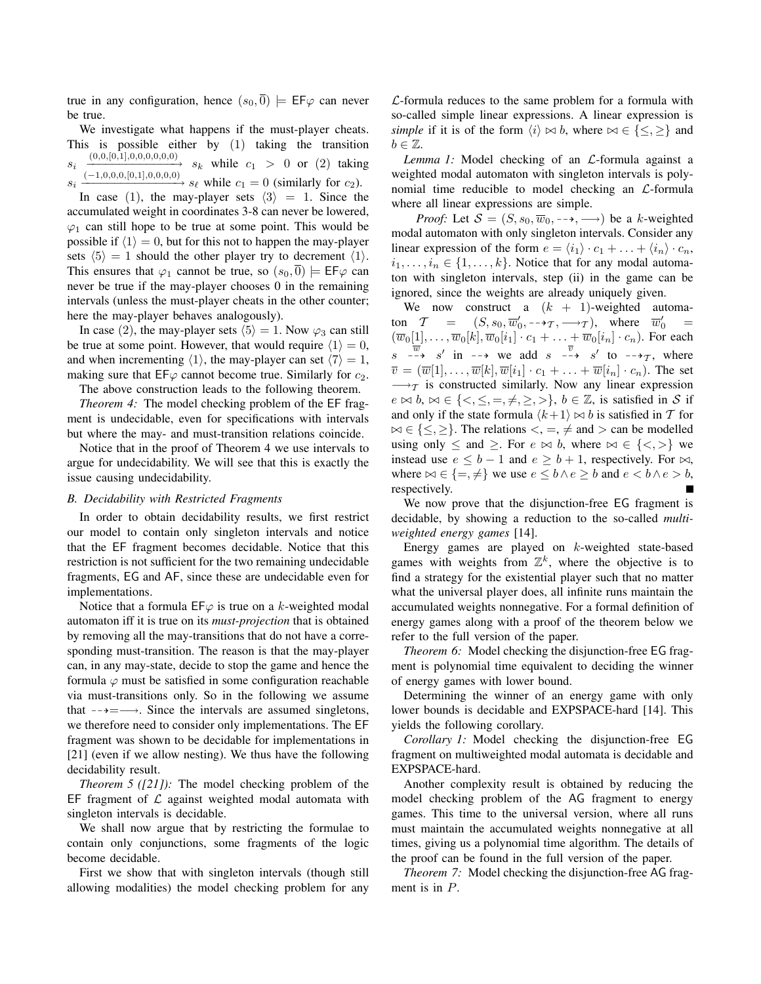true in any configuration, hence  $(s_0, \overline{0}) \models \text{EF}\varphi$  can never be true.

We investigate what happens if the must-player cheats. This is possible either by (1) taking the transition si  $\frac{(0,0,[0,1],0,0,0,0,0,0)}{s_k}$  while  $c_1 > 0$  or (2) taking si  $\xrightarrow{(-1,0,0,0,0,0,1],0,0,0,0)} s_{\ell}$  while  $c_1 = 0$  (similarly for  $c_2$ ).

In case (1), the may-player sets  $\langle 3 \rangle = 1$ . Since the accumulated weight in coordinates 3-8 can never be lowered,  $\varphi_1$  can still hope to be true at some point. This would be possible if  $\langle 1 \rangle = 0$ , but for this not to happen the may-player sets  $\langle 5 \rangle = 1$  should the other player try to decrement  $\langle 1 \rangle$ . This ensures that  $\varphi_1$  cannot be true, so  $(s_0, 0) \models \textsf{EF}\varphi$  can never be true if the may-player chooses 0 in the remaining intervals (unless the must-player cheats in the other counter; here the may-player behaves analogously).

In case (2), the may-player sets  $\langle 5 \rangle = 1$ . Now  $\varphi_3$  can still be true at some point. However, that would require  $\langle 1 \rangle = 0$ , and when incrementing  $\langle 1 \rangle$ , the may-player can set  $\langle 7 \rangle = 1$ , making sure that  $E\psi$  cannot become true. Similarly for  $c_2$ .

The above construction leads to the following theorem.

*Theorem 4:* The model checking problem of the EF fragment is undecidable, even for specifications with intervals but where the may- and must-transition relations coincide.

Notice that in the proof of Theorem 4 we use intervals to argue for undecidability. We will see that this is exactly the issue causing undecidability.

## *B. Decidability with Restricted Fragments*

In order to obtain decidability results, we first restrict our model to contain only singleton intervals and notice that the EF fragment becomes decidable. Notice that this restriction is not sufficient for the two remaining undecidable fragments, EG and AF, since these are undecidable even for implementations.

Notice that a formula  $E\mathsf{F}\varphi$  is true on a k-weighted modal automaton iff it is true on its *must-projection* that is obtained by removing all the may-transitions that do not have a corresponding must-transition. The reason is that the may-player can, in any may-state, decide to stop the game and hence the formula  $\varphi$  must be satisfied in some configuration reachable via must-transitions only. So in the following we assume that  $-\rightarrow = \rightarrow$ . Since the intervals are assumed singletons, we therefore need to consider only implementations. The EF fragment was shown to be decidable for implementations in [21] (even if we allow nesting). We thus have the following decidability result.

*Theorem 5 ([21]):* The model checking problem of the EF fragment of  $\mathcal L$  against weighted modal automata with singleton intervals is decidable.

We shall now argue that by restricting the formulae to contain only conjunctions, some fragments of the logic become decidable.

First we show that with singleton intervals (though still allowing modalities) the model checking problem for any  $\mathcal{L}$ -formula reduces to the same problem for a formula with so-called simple linear expressions. A linear expression is *simple* if it is of the form  $\langle i \rangle \bowtie b$ , where  $\bowtie \in \{\leq, \geq\}$  and  $b \in \mathbb{Z}$ .

*Lemma 1:* Model checking of an *L*-formula against a weighted modal automaton with singleton intervals is polynomial time reducible to model checking an L-formula where all linear expressions are simple.

*Proof:* Let  $S = (S, s_0, \overline{w}_0, \dots, \longrightarrow)$  be a k-weighted modal automaton with only singleton intervals. Consider any linear expression of the form  $e = \langle i_1 \rangle \cdot c_1 + \ldots + \langle i_n \rangle \cdot c_n$ ,  $i_1, \ldots, i_n \in \{1, \ldots, k\}$ . Notice that for any modal automaton with singleton intervals, step (ii) in the game can be ignored, since the weights are already uniquely given.

We now construct a  $(k + 1)$ -weighted automaton  $T = (S, s_0, \overline{w}'_0, -\rightarrow_{\mathcal{T}}, \rightarrow_{\mathcal{T}})$ , where  $\overline{w}'_0$  =  $(\overline{w}_0[1], \ldots, \overline{w}_0[k], \overline{w}_0[i_1] \cdot c_1 + \ldots + \overline{w}_0[i_n] \cdot c_n)$ . For each  $s \xrightarrow{w} s'$  in  $\rightarrow$  we add  $s \xrightarrow{-\rightarrow} s'$  to  $\rightarrow$   $\rightarrow$  where  $\overline{v} = (\overline{w}[1], \ldots, \overline{w}[k], \overline{w}[i_1] \cdot c_1 + \ldots + \overline{w}[i_n] \cdot c_n)$ . The set  $\rightarrow$ T is constructed similarly. Now any linear expression  $e \bowtie b$ ,  $\bowtie \in \{<,\leq,=,\neq,\geq,>\}, b \in \mathbb{Z}$ , is satisfied in S if and only if the state formula  $\langle k+1 \rangle \bowtie b$  is satisfied in T for  $\bowtie \in \{\leq, \geq\}$ . The relations  $\lt, =, \neq$  and  $\gt$  can be modelled using only  $\leq$  and  $\geq$ . For  $e \bowtie b$ , where  $\bowtie \in \{<,>\}$  we instead use  $e \leq b - 1$  and  $e \geq b + 1$ , respectively. For  $\bowtie$ , where  $\bowtie \in \{=, \neq\}$  we use  $e \leq b \land e \geq b$  and  $e < b \land e > b$ , respectively.

We now prove that the disjunction-free EG fragment is decidable, by showing a reduction to the so-called *multiweighted energy games* [14].

Energy games are played on k-weighted state-based games with weights from  $\mathbb{Z}^k$ , where the objective is to find a strategy for the existential player such that no matter what the universal player does, all infinite runs maintain the accumulated weights nonnegative. For a formal definition of energy games along with a proof of the theorem below we refer to the full version of the paper.

*Theorem 6:* Model checking the disjunction-free EG fragment is polynomial time equivalent to deciding the winner of energy games with lower bound.

Determining the winner of an energy game with only lower bounds is decidable and EXPSPACE-hard [14]. This yields the following corollary.

*Corollary 1:* Model checking the disjunction-free EG fragment on multiweighted modal automata is decidable and EXPSPACE-hard.

Another complexity result is obtained by reducing the model checking problem of the AG fragment to energy games. This time to the universal version, where all runs must maintain the accumulated weights nonnegative at all times, giving us a polynomial time algorithm. The details of the proof can be found in the full version of the paper.

*Theorem 7:* Model checking the disjunction-free AG fragment is in P.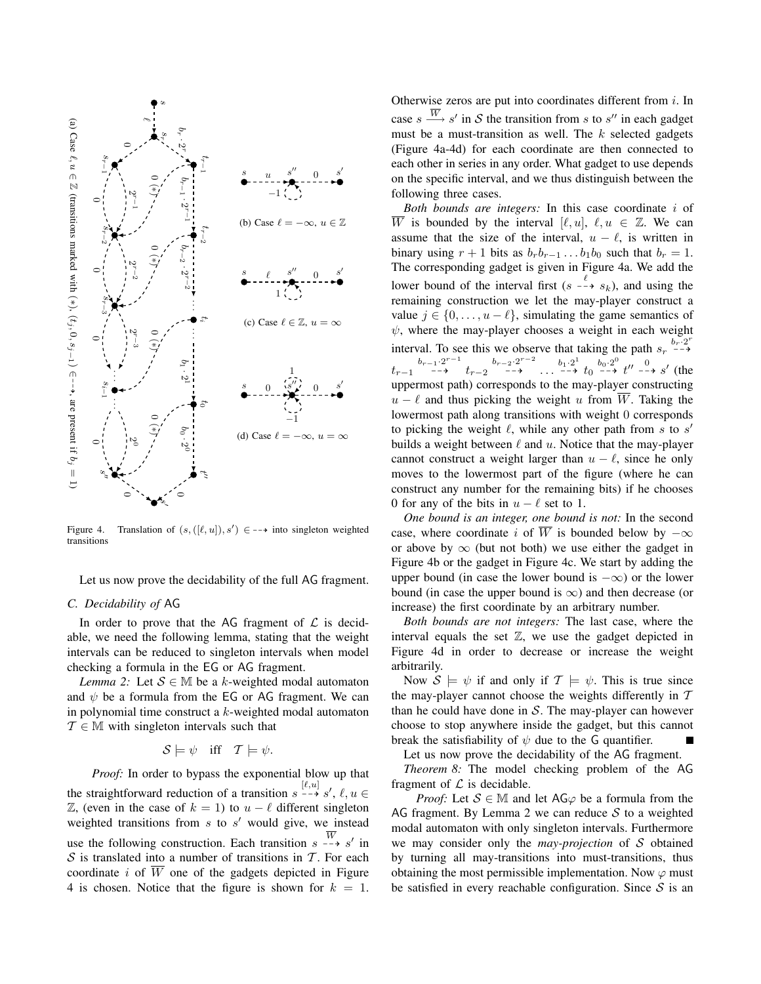

Figure 4. Translation of (s, ([`, u]), s<sup>0</sup> ) ∈ 99K into singleton weighted transitions

Let us now prove the decidability of the full AG fragment.

## *C. Decidability of* AG

In order to prove that the AG fragment of  $\mathcal L$  is decidable, we need the following lemma, stating that the weight intervals can be reduced to singleton intervals when model checking a formula in the EG or AG fragment.

*Lemma 2:* Let  $S \in M$  be a k-weighted modal automaton and  $\psi$  be a formula from the EG or AG fragment. We can in polynomial time construct a k-weighted modal automaton  $\mathcal{T} \in \mathbb{M}$  with singleton intervals such that

$$
\mathcal{S} \models \psi \quad \text{iff} \quad \mathcal{T} \models \psi.
$$

*Proof:* In order to bypass the exponential blow up that the straightforward reduction of a transition  $s \stackrel{[\ell,u]}{\dashrightarrow} s'$ ,  $\ell, u \in$  $\mathbb{Z}$ , (even in the case of  $k = 1$ ) to  $u - \ell$  different singleton weighted transitions from  $s$  to  $s'$  would give, we instead use the following construction. Each transition  $s \rightarrow s'$  in  $S$  is translated into a number of transitions in T. For each coordinate i of  $\overline{W}$  one of the gadgets depicted in Figure 4 is chosen. Notice that the figure is shown for  $k = 1$ . Otherwise zeros are put into coordinates different from  $i$ . In case  $s \stackrel{\overline{W}}{\longrightarrow} s'$  in S the transition from s to s'' in each gadget must be a must-transition as well. The  $k$  selected gadgets (Figure 4a-4d) for each coordinate are then connected to each other in series in any order. What gadget to use depends on the specific interval, and we thus distinguish between the following three cases.

*Both bounds are integers:* In this case coordinate i of  $\overline{W}$  is bounded by the interval  $[\ell, u], \ell, u \in \mathbb{Z}$ . We can assume that the size of the interval,  $u - \ell$ , is written in binary using  $r + 1$  bits as  $b_r b_{r-1} \ldots b_1 b_0$  such that  $b_r = 1$ . The corresponding gadget is given in Figure 4a. We add the lower bound of the interval first  $(s \xrightarrow{\ell} s_k)$ , and using the remaining construction we let the may-player construct a value  $j \in \{0, \ldots, u - \ell\}$ , simulating the game semantics of  $\psi$ , where the may-player chooses a weight in each weight interval. To see this we observe that taking the path  $s_r \xrightarrow{b_r \cdot 2^r}$  $t_{r-1} \longrightarrow \begin{array}{c} b_{r-1} \cdot 2^{r-1} & b_{r-2} \cdot 2^{r-2} \cdot b_1 \cdot 2^1 & b_0 \cdot 2^0 & b_0 \cdot 2^0 \\ t_{r-1} & \longrightarrow \end{array}$  to  $\longrightarrow \begin{array}{c} b_1 \cdot 2^1 & b_0 \cdot 2^0 & b_0 \cdot 2^0 \\ t_0 & \longrightarrow \end{array}$  to  $\longrightarrow s'$  (the uppermost path) corresponds to the may-player constructing  $u - \ell$  and thus picking the weight u from  $\overline{W}$ . Taking the lowermost path along transitions with weight 0 corresponds to picking the weight  $\ell$ , while any other path from s to s' builds a weight between  $\ell$  and  $u$ . Notice that the may-player cannot construct a weight larger than  $u - \ell$ , since he only moves to the lowermost part of the figure (where he can construct any number for the remaining bits) if he chooses 0 for any of the bits in  $u - \ell$  set to 1.

*One bound is an integer, one bound is not:* In the second case, where coordinate i of  $\overline{W}$  is bounded below by  $-\infty$ or above by  $\infty$  (but not both) we use either the gadget in Figure 4b or the gadget in Figure 4c. We start by adding the upper bound (in case the lower bound is  $-\infty$ ) or the lower bound (in case the upper bound is  $\infty$ ) and then decrease (or increase) the first coordinate by an arbitrary number.

*Both bounds are not integers:* The last case, where the interval equals the set  $\mathbb{Z}$ , we use the gadget depicted in Figure 4d in order to decrease or increase the weight arbitrarily.

Now  $S \models \psi$  if and only if  $\mathcal{T} \models \psi$ . This is true since the may-player cannot choose the weights differently in  $T$ than he could have done in  $S$ . The may-player can however choose to stop anywhere inside the gadget, but this cannot break the satisfiability of  $\psi$  due to the G quantifier.

Let us now prove the decidability of the AG fragment. *Theorem 8:* The model checking problem of the AG fragment of  $\mathcal L$  is decidable.

*Proof:* Let  $S \in M$  and let AG $\varphi$  be a formula from the AG fragment. By Lemma 2 we can reduce  $S$  to a weighted modal automaton with only singleton intervals. Furthermore we may consider only the *may-projection* of S obtained by turning all may-transitions into must-transitions, thus obtaining the most permissible implementation. Now  $\varphi$  must be satisfied in every reachable configuration. Since  $S$  is an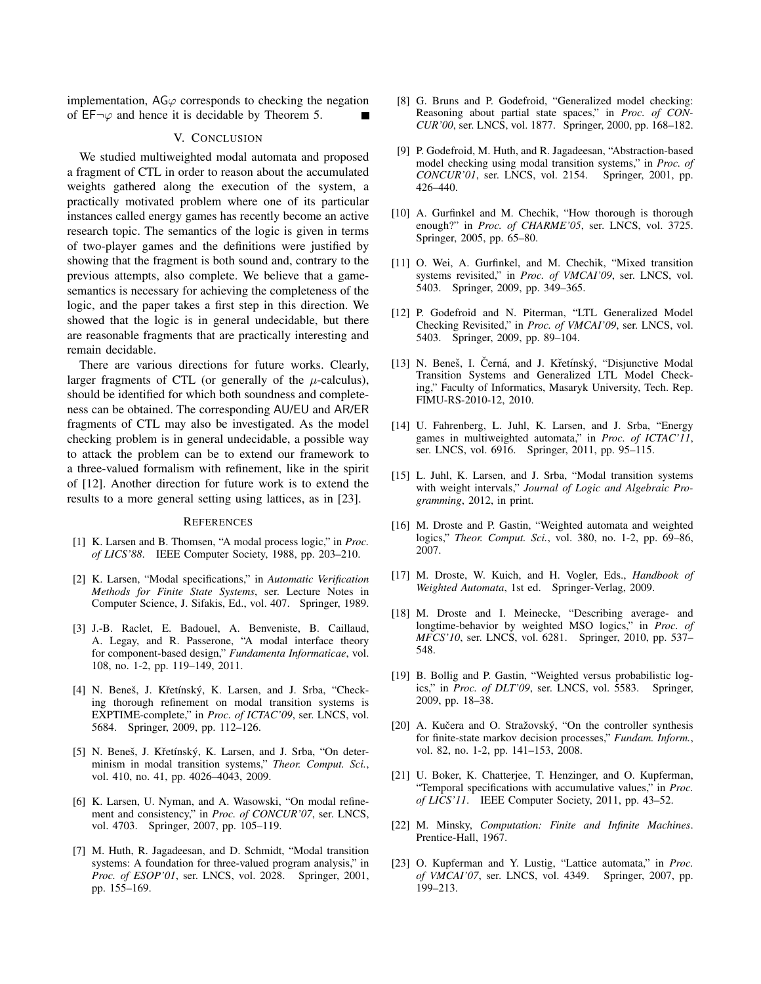implementation,  $AG\varphi$  corresponds to checking the negation of  $EF\neg\varphi$  and hence it is decidable by Theorem 5.

#### V. CONCLUSION

We studied multiweighted modal automata and proposed a fragment of CTL in order to reason about the accumulated weights gathered along the execution of the system, a practically motivated problem where one of its particular instances called energy games has recently become an active research topic. The semantics of the logic is given in terms of two-player games and the definitions were justified by showing that the fragment is both sound and, contrary to the previous attempts, also complete. We believe that a gamesemantics is necessary for achieving the completeness of the logic, and the paper takes a first step in this direction. We showed that the logic is in general undecidable, but there are reasonable fragments that are practically interesting and remain decidable.

There are various directions for future works. Clearly, larger fragments of CTL (or generally of the  $\mu$ -calculus), should be identified for which both soundness and completeness can be obtained. The corresponding AU/EU and AR/ER fragments of CTL may also be investigated. As the model checking problem is in general undecidable, a possible way to attack the problem can be to extend our framework to a three-valued formalism with refinement, like in the spirit of [12]. Another direction for future work is to extend the results to a more general setting using lattices, as in [23].

#### **REFERENCES**

- [1] K. Larsen and B. Thomsen, "A modal process logic," in *Proc. of LICS'88*. IEEE Computer Society, 1988, pp. 203–210.
- [2] K. Larsen, "Modal specifications," in *Automatic Verification Methods for Finite State Systems*, ser. Lecture Notes in Computer Science, J. Sifakis, Ed., vol. 407. Springer, 1989.
- [3] J.-B. Raclet, E. Badouel, A. Benveniste, B. Caillaud, A. Legay, and R. Passerone, "A modal interface theory for component-based design," *Fundamenta Informaticae*, vol. 108, no. 1-2, pp. 119–149, 2011.
- [4] N. Beneš, J. Křetínský, K. Larsen, and J. Srba, "Checking thorough refinement on modal transition systems is EXPTIME-complete," in *Proc. of ICTAC'09*, ser. LNCS, vol. 5684. Springer, 2009, pp. 112–126.
- [5] N. Beneš, J. Křetínský, K. Larsen, and J. Srba, "On determinism in modal transition systems," *Theor. Comput. Sci.*, vol. 410, no. 41, pp. 4026–4043, 2009.
- [6] K. Larsen, U. Nyman, and A. Wasowski, "On modal refinement and consistency," in *Proc. of CONCUR'07*, ser. LNCS, vol. 4703. Springer, 2007, pp. 105–119.
- [7] M. Huth, R. Jagadeesan, and D. Schmidt, "Modal transition systems: A foundation for three-valued program analysis," in *Proc. of ESOP'01*, ser. LNCS, vol. 2028. Springer, 2001, pp. 155–169.
- [8] G. Bruns and P. Godefroid, "Generalized model checking: Reasoning about partial state spaces," in *Proc. of CON-CUR'00*, ser. LNCS, vol. 1877. Springer, 2000, pp. 168–182.
- [9] P. Godefroid, M. Huth, and R. Jagadeesan, "Abstraction-based model checking using modal transition systems," in *Proc. of CONCUR'01*, ser. LNCS, vol. 2154. Springer, 2001, pp. 426–440.
- [10] A. Gurfinkel and M. Chechik, "How thorough is thorough enough?" in *Proc. of CHARME'05*, ser. LNCS, vol. 3725. Springer, 2005, pp. 65–80.
- [11] O. Wei, A. Gurfinkel, and M. Chechik, "Mixed transition systems revisited," in *Proc. of VMCAI'09*, ser. LNCS, vol. 5403. Springer, 2009, pp. 349–365.
- [12] P. Godefroid and N. Piterman, "LTL Generalized Model Checking Revisited," in *Proc. of VMCAI'09*, ser. LNCS, vol. 5403. Springer, 2009, pp. 89–104.
- [13] N. Beneš, I. Černá, and J. Křetínský, "Disjunctive Modal Transition Systems and Generalized LTL Model Checking," Faculty of Informatics, Masaryk University, Tech. Rep. FIMU-RS-2010-12, 2010.
- [14] U. Fahrenberg, L. Juhl, K. Larsen, and J. Srba, "Energy games in multiweighted automata," in *Proc. of ICTAC'11*, ser. LNCS, vol. 6916. Springer, 2011, pp. 95–115.
- [15] L. Juhl, K. Larsen, and J. Srba, "Modal transition systems with weight intervals," *Journal of Logic and Algebraic Programming*, 2012, in print.
- [16] M. Droste and P. Gastin, "Weighted automata and weighted logics," *Theor. Comput. Sci.*, vol. 380, no. 1-2, pp. 69–86, 2007.
- [17] M. Droste, W. Kuich, and H. Vogler, Eds., *Handbook of Weighted Automata*, 1st ed. Springer-Verlag, 2009.
- [18] M. Droste and I. Meinecke, "Describing average- and longtime-behavior by weighted MSO logics," in *Proc. of MFCS'10*, ser. LNCS, vol. 6281. Springer, 2010, pp. 537– 548.
- [19] B. Bollig and P. Gastin, "Weighted versus probabilistic logics," in *Proc. of DLT'09*, ser. LNCS, vol. 5583. Springer, 2009, pp. 18–38.
- [20] A. Kučera and O. Stražovský, "On the controller synthesis for finite-state markov decision processes," *Fundam. Inform.*, vol. 82, no. 1-2, pp. 141–153, 2008.
- [21] U. Boker, K. Chatterjee, T. Henzinger, and O. Kupferman, "Temporal specifications with accumulative values," in *Proc. of LICS'11*. IEEE Computer Society, 2011, pp. 43–52.
- [22] M. Minsky, *Computation: Finite and Infinite Machines*. Prentice-Hall, 1967.
- [23] O. Kupferman and Y. Lustig, "Lattice automata," in *Proc. of VMCAI'07*, ser. LNCS, vol. 4349. Springer, 2007, pp. 199–213.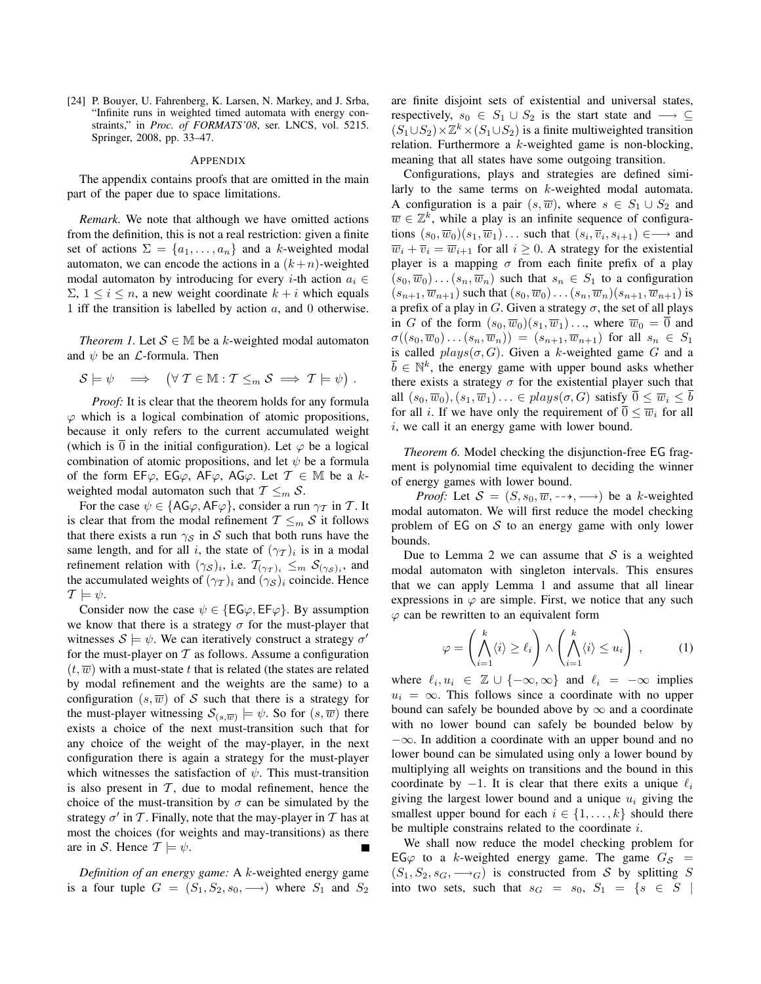[24] P. Bouyer, U. Fahrenberg, K. Larsen, N. Markey, and J. Srba, "Infinite runs in weighted timed automata with energy constraints," in *Proc. of FORMATS'08*, ser. LNCS, vol. 5215. Springer, 2008, pp. 33–47.

#### APPENDIX

The appendix contains proofs that are omitted in the main part of the paper due to space limitations.

*Remark.* We note that although we have omitted actions from the definition, this is not a real restriction: given a finite set of actions  $\Sigma = \{a_1, \ldots, a_n\}$  and a k-weighted modal automaton, we can encode the actions in a  $(k+n)$ -weighted modal automaton by introducing for every *i*-th action  $a_i \in$  $\Sigma$ ,  $1 \leq i \leq n$ , a new weight coordinate  $k + i$  which equals 1 iff the transition is labelled by action  $a$ , and 0 otherwise.

*Theorem 1.* Let  $S \in M$  be a k-weighted modal automaton and  $\psi$  be an *L*-formula. Then

 $S \models \psi \implies (\forall \mathcal{T} \in \mathbb{M} : \mathcal{T} \leq_m S \implies \mathcal{T} \models \psi).$ 

*Proof:* It is clear that the theorem holds for any formula  $\varphi$  which is a logical combination of atomic propositions, because it only refers to the current accumulated weight (which is  $\overline{0}$  in the initial configuration). Let  $\varphi$  be a logical combination of atomic propositions, and let  $\psi$  be a formula of the form EF $\varphi$ , EG $\varphi$ , AF $\varphi$ , AG $\varphi$ . Let  $\mathcal{T} \in \mathbb{M}$  be a kweighted modal automaton such that  $T \leq_m S$ .

For the case  $\psi \in \{\text{AG}\varphi, \text{AF}\varphi\}$ , consider a run  $\gamma_T$  in T. It is clear that from the modal refinement  $T \leq_m S$  it follows that there exists a run  $\gamma_S$  in S such that both runs have the same length, and for all i, the state of  $(\gamma_T)_i$  is in a modal refinement relation with  $(\gamma_S)_i$ , i.e.  $\mathcal{T}_{(\gamma_T)_i} \leq_m \mathcal{S}_{(\gamma_S)_i}$ , and the accumulated weights of  $(\gamma_T)_i$  and  $(\gamma_S)_i$  coincide. Hence  $\mathcal{T} \models \psi.$ 

Consider now the case  $\psi \in \{\textsf{EG}\varphi,\textsf{EF}\varphi\}$ . By assumption we know that there is a strategy  $\sigma$  for the must-player that witnesses  $\mathcal{S} \models \psi$ . We can iteratively construct a strategy  $\sigma'$ for the must-player on  $T$  as follows. Assume a configuration  $(t, \overline{w})$  with a must-state t that is related (the states are related by modal refinement and the weights are the same) to a configuration  $(s, \overline{w})$  of S such that there is a strategy for the must-player witnessing  $\mathcal{S}_{(s,\overline{w})} \models \psi$ . So for  $(s,\overline{w})$  there exists a choice of the next must-transition such that for any choice of the weight of the may-player, in the next configuration there is again a strategy for the must-player which witnesses the satisfaction of  $\psi$ . This must-transition is also present in  $T$ , due to modal refinement, hence the choice of the must-transition by  $\sigma$  can be simulated by the strategy  $\sigma'$  in T. Finally, note that the may-player in T has at most the choices (for weights and may-transitions) as there are in S. Hence  $T \models \psi$ .

*Definition of an energy game:* A k-weighted energy game is a four tuple  $G = (S_1, S_2, s_0, \rightarrow)$  where  $S_1$  and  $S_2$  are finite disjoint sets of existential and universal states, respectively,  $s_0 \in S_1 \cup S_2$  is the start state and  $\longrightarrow \subseteq$  $(S_1 \cup S_2) \times \mathbb{Z}^k \times (S_1 \cup S_2)$  is a finite multiweighted transition relation. Furthermore a  $k$ -weighted game is non-blocking, meaning that all states have some outgoing transition.

Configurations, plays and strategies are defined similarly to the same terms on k-weighted modal automata. A configuration is a pair  $(s, \overline{w})$ , where  $s \in S_1 \cup S_2$  and  $\overline{w} \in \mathbb{Z}^k$ , while a play is an infinite sequence of configurations  $(s_0, \overline{w}_0)(s_1, \overline{w}_1) \dots$  such that  $(s_i, \overline{v}_i, s_{i+1}) \in \longrightarrow$  and  $\overline{w}_i + \overline{v}_i = \overline{w}_{i+1}$  for all  $i \geq 0$ . A strategy for the existential player is a mapping  $\sigma$  from each finite prefix of a play  $(s_0, \overline{w}_0) \dots (s_n, \overline{w}_n)$  such that  $s_n \in S_1$  to a configuration  $(s_{n+1}, \overline{w}_{n+1})$  such that  $(s_0, \overline{w}_0) \dots (s_n, \overline{w}_n)(s_{n+1}, \overline{w}_{n+1})$  is a prefix of a play in G. Given a strategy  $\sigma$ , the set of all plays in G of the form  $(s_0, \overline{w}_0)(s_1, \overline{w}_1) \ldots$ , where  $\overline{w}_0 = \overline{0}$  and  $\sigma((s_0,\overline{w}_0)\dots(s_n,\overline{w}_n)) = (s_{n+1},\overline{w}_{n+1})$  for all  $s_n \in S_1$ is called  $plays(\sigma, G)$ . Given a k-weighted game G and a  $\overline{b} \in \mathbb{N}^k$ , the energy game with upper bound asks whether there exists a strategy  $\sigma$  for the existential player such that all  $(s_0, \overline{w}_0), (s_1, \overline{w}_1) \ldots \in plays(\sigma, G)$  satisfy  $\overline{0} \leq \overline{w}_i \leq \overline{b}$ for all *i*. If we have only the requirement of  $\overline{0} \leq \overline{w}_i$  for all i, we call it an energy game with lower bound.

*Theorem 6.* Model checking the disjunction-free EG fragment is polynomial time equivalent to deciding the winner of energy games with lower bound.

*Proof:* Let  $S = (S, s_0, \overline{w}, \dots, \dots)$  be a k-weighted modal automaton. We will first reduce the model checking problem of  $EG$  on  $S$  to an energy game with only lower bounds.

Due to Lemma 2 we can assume that  $S$  is a weighted modal automaton with singleton intervals. This ensures that we can apply Lemma 1 and assume that all linear expressions in  $\varphi$  are simple. First, we notice that any such  $\varphi$  can be rewritten to an equivalent form

$$
\varphi = \left(\bigwedge_{i=1}^k \langle i \rangle \ge \ell_i\right) \wedge \left(\bigwedge_{i=1}^k \langle i \rangle \le u_i\right) ,\qquad (1)
$$

where  $\ell_i, u_i \in \mathbb{Z} \cup \{-\infty, \infty\}$  and  $\ell_i = -\infty$  implies  $u_i = \infty$ . This follows since a coordinate with no upper bound can safely be bounded above by  $\infty$  and a coordinate with no lower bound can safely be bounded below by  $-\infty$ . In addition a coordinate with an upper bound and no lower bound can be simulated using only a lower bound by multiplying all weights on transitions and the bound in this coordinate by  $-1$ . It is clear that there exits a unique  $\ell_i$ giving the largest lower bound and a unique  $u_i$  giving the smallest upper bound for each  $i \in \{1, \ldots, k\}$  should there be multiple constrains related to the coordinate i.

We shall now reduce the model checking problem for EG $\varphi$  to a k-weighted energy game. The game  $G_{\mathcal{S}} =$  $(S_1, S_2, s_G, \longrightarrow_G)$  is constructed from S by splitting S into two sets, such that  $s_G = s_0$ ,  $S_1 = \{s \in S \mid$